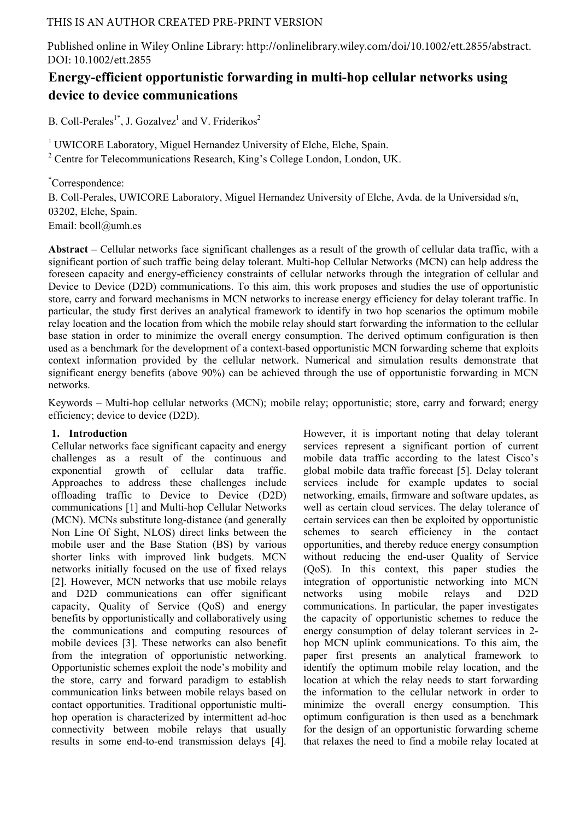# THIS IS AN AUTHOR CREATED PRE-PRINT VERSION

Published online in Wiley Online Library: http://onlinelibrary.wiley.com/doi/10.1002/ett.2855/abstract. DOI: 10.1002/ett.2855

# **Energy-efficient opportunistic forwarding in multi-hop cellular networks using device to device communications**

B. Coll-Perales<sup>1\*</sup>, J. Gozalvez<sup>1</sup> and V. Friderikos<sup>2</sup>

<sup>1</sup> UWICORE Laboratory, Miguel Hernandez University of Elche, Elche, Spain.

<sup>2</sup> Centre for Telecommunications Research, King's College London, London, UK.

\* Correspondence: B. Coll-Perales, UWICORE Laboratory, Miguel Hernandez University of Elche, Avda. de la Universidad s/n, 03202, Elche, Spain. Email: bcoll@umh.es

**Abstract –** Cellular networks face significant challenges as a result of the growth of cellular data traffic, with a significant portion of such traffic being delay tolerant. Multi-hop Cellular Networks (MCN) can help address the foreseen capacity and energy-efficiency constraints of cellular networks through the integration of cellular and Device to Device (D2D) communications. To this aim, this work proposes and studies the use of opportunistic store, carry and forward mechanisms in MCN networks to increase energy efficiency for delay tolerant traffic. In particular, the study first derives an analytical framework to identify in two hop scenarios the optimum mobile relay location and the location from which the mobile relay should start forwarding the information to the cellular base station in order to minimize the overall energy consumption. The derived optimum configuration is then used as a benchmark for the development of a context-based opportunistic MCN forwarding scheme that exploits context information provided by the cellular network. Numerical and simulation results demonstrate that significant energy benefits (above 90%) can be achieved through the use of opportunistic forwarding in MCN networks.

Keywords – Multi-hop cellular networks (MCN); mobile relay; opportunistic; store, carry and forward; energy efficiency; device to device (D2D).

# **1. Introduction**

Cellular networks face significant capacity and energy challenges as a result of the continuous and exponential growth of cellular data traffic. Approaches to address these challenges include offloading traffic to Device to Device (D2D) communications [1] and Multi-hop Cellular Networks (MCN). MCNs substitute long-distance (and generally Non Line Of Sight, NLOS) direct links between the mobile user and the Base Station (BS) by various shorter links with improved link budgets. MCN networks initially focused on the use of fixed relays [2]. However, MCN networks that use mobile relays and D2D communications can offer significant capacity, Quality of Service (QoS) and energy benefits by opportunistically and collaboratively using the communications and computing resources of mobile devices [3]. These networks can also benefit from the integration of opportunistic networking. Opportunistic schemes exploit the node's mobility and the store, carry and forward paradigm to establish communication links between mobile relays based on contact opportunities. Traditional opportunistic multihop operation is characterized by intermittent ad-hoc connectivity between mobile relays that usually results in some end-to-end transmission delays [4].

However, it is important noting that delay tolerant services represent a significant portion of current mobile data traffic according to the latest Cisco's global mobile data traffic forecast [5]. Delay tolerant services include for example updates to social networking, emails, firmware and software updates, as well as certain cloud services. The delay tolerance of certain services can then be exploited by opportunistic schemes to search efficiency in the contact opportunities, and thereby reduce energy consumption without reducing the end-user Quality of Service (QoS). In this context, this paper studies the integration of opportunistic networking into MCN networks using mobile relays and D2D communications. In particular, the paper investigates the capacity of opportunistic schemes to reduce the energy consumption of delay tolerant services in 2 hop MCN uplink communications. To this aim, the paper first presents an analytical framework to identify the optimum mobile relay location, and the location at which the relay needs to start forwarding the information to the cellular network in order to minimize the overall energy consumption. This optimum configuration is then used as a benchmark for the design of an opportunistic forwarding scheme that relaxes the need to find a mobile relay located at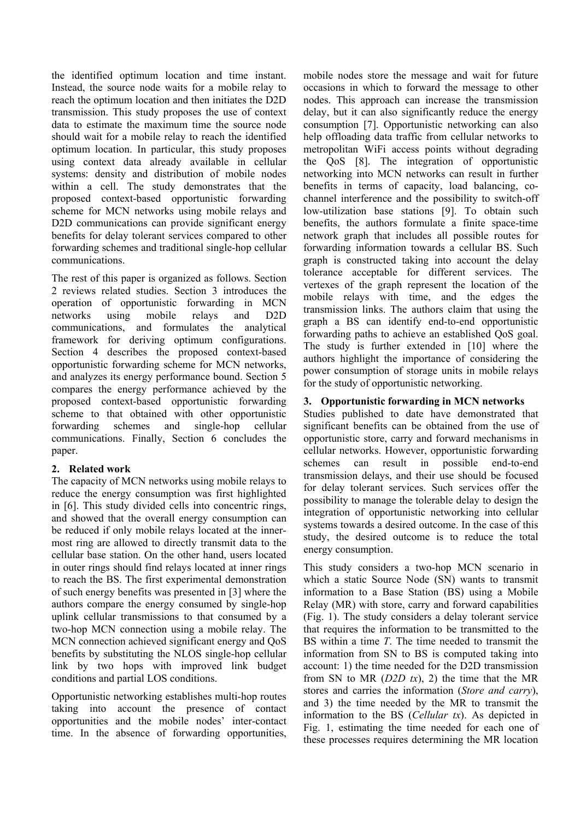the identified optimum location and time instant. Instead, the source node waits for a mobile relay to reach the optimum location and then initiates the D2D transmission. This study proposes the use of context data to estimate the maximum time the source node should wait for a mobile relay to reach the identified optimum location. In particular, this study proposes using context data already available in cellular systems: density and distribution of mobile nodes within a cell. The study demonstrates that the proposed context-based opportunistic forwarding scheme for MCN networks using mobile relays and D2D communications can provide significant energy benefits for delay tolerant services compared to other forwarding schemes and traditional single-hop cellular communications.

The rest of this paper is organized as follows. Section 2 reviews related studies. Section 3 introduces the operation of opportunistic forwarding in MCN networks using mobile relays and D2D communications, and formulates the analytical framework for deriving optimum configurations. Section 4 describes the proposed context-based opportunistic forwarding scheme for MCN networks, and analyzes its energy performance bound. Section 5 compares the energy performance achieved by the proposed context-based opportunistic forwarding scheme to that obtained with other opportunistic forwarding schemes and single-hop cellular communications. Finally, Section 6 concludes the paper.

# **2. Related work**

The capacity of MCN networks using mobile relays to reduce the energy consumption was first highlighted in [6]. This study divided cells into concentric rings, and showed that the overall energy consumption can be reduced if only mobile relays located at the innermost ring are allowed to directly transmit data to the cellular base station. On the other hand, users located in outer rings should find relays located at inner rings to reach the BS. The first experimental demonstration of such energy benefits was presented in [3] where the authors compare the energy consumed by single-hop uplink cellular transmissions to that consumed by a two-hop MCN connection using a mobile relay. The MCN connection achieved significant energy and QoS benefits by substituting the NLOS single-hop cellular link by two hops with improved link budget conditions and partial LOS conditions.

Opportunistic networking establishes multi-hop routes taking into account the presence of contact opportunities and the mobile nodes' inter-contact time. In the absence of forwarding opportunities, mobile nodes store the message and wait for future occasions in which to forward the message to other nodes. This approach can increase the transmission delay, but it can also significantly reduce the energy consumption [7]. Opportunistic networking can also help offloading data traffic from cellular networks to metropolitan WiFi access points without degrading the QoS [8]. The integration of opportunistic networking into MCN networks can result in further benefits in terms of capacity, load balancing, cochannel interference and the possibility to switch-off low-utilization base stations [9]. To obtain such benefits, the authors formulate a finite space-time network graph that includes all possible routes for forwarding information towards a cellular BS. Such graph is constructed taking into account the delay tolerance acceptable for different services. The vertexes of the graph represent the location of the mobile relays with time, and the edges the transmission links. The authors claim that using the graph a BS can identify end-to-end opportunistic forwarding paths to achieve an established QoS goal. The study is further extended in [10] where the authors highlight the importance of considering the power consumption of storage units in mobile relays for the study of opportunistic networking.

# **3. Opportunistic forwarding in MCN networks**

Studies published to date have demonstrated that significant benefits can be obtained from the use of opportunistic store, carry and forward mechanisms in cellular networks. However, opportunistic forwarding schemes can result in possible end-to-end transmission delays, and their use should be focused for delay tolerant services. Such services offer the possibility to manage the tolerable delay to design the integration of opportunistic networking into cellular systems towards a desired outcome. In the case of this study, the desired outcome is to reduce the total energy consumption.

This study considers a two-hop MCN scenario in which a static Source Node (SN) wants to transmit information to a Base Station (BS) using a Mobile Relay (MR) with store, carry and forward capabilities (Fig. 1). The study considers a delay tolerant service that requires the information to be transmitted to the BS within a time *T*. The time needed to transmit the information from SN to BS is computed taking into account: 1) the time needed for the D2D transmission from SN to MR  $(D2D tx)$ , 2) the time that the MR stores and carries the information (*Store and carry*), and 3) the time needed by the MR to transmit the information to the BS (*Cellular tx*). As depicted in Fig. 1, estimating the time needed for each one of these processes requires determining the MR location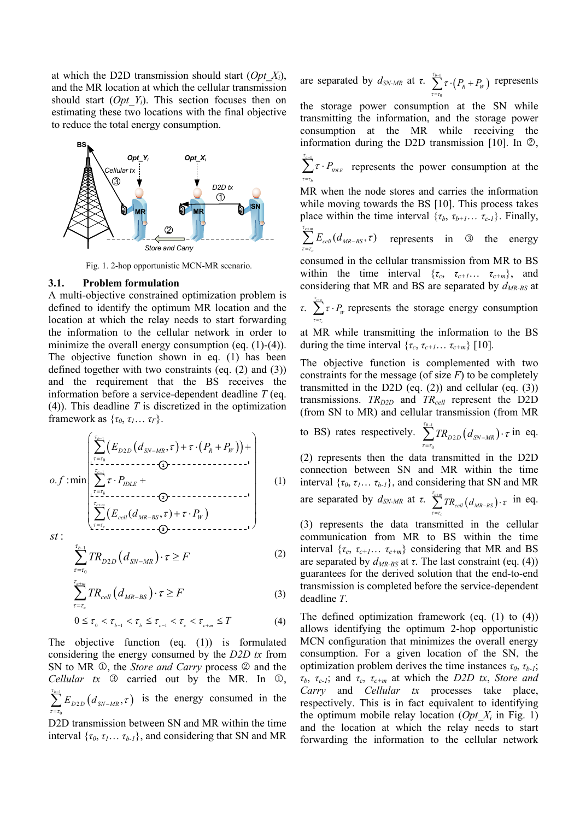at which the D2D transmission should start (*Opt\_Xi*), and the MR location at which the cellular transmission should start (*Opt\_Yi*). This section focuses then on estimating these two locations with the final objective to reduce the total energy consumption.



Fig. 1. 2-hop opportunistic MCN-MR scenario.

#### **3.1. Problem formulation**

A multi-objective constrained optimization problem is defined to identify the optimum MR location and the location at which the relay needs to start forwarding the information to the cellular network in order to minimize the overall energy consumption (eq.  $(1)-(4)$ ). The objective function shown in eq. (1) has been defined together with two constraints (eq. (2) and (3)) and the requirement that the BS receives the information before a service-dependent deadline *T* (eq. (4)). This deadline *T* is discretized in the optimization framework as  $\{\tau_0, \tau_1 \dots \tau_r\}$ .

$$
o.f: \min \left( \sum_{\tau=\tau_0}^{\tau_{b-1}} (E_{D2D} (d_{SN-MR}, \tau) + \tau \cdot (P_R + P_W)) + \\ \sum_{\tau_{c-1}}^{\tau_{c-1}} \tau \cdot P_{IDLE} + \\ \sum_{\tau=\tau_b}^{\tau_{c+m}} (E_{cell} (d_{MR-BS}, \tau) + \tau \cdot P_W) \\ st:
$$
\n(1)

$$
\sum_{\tau=\tau_0}^{\tau_{b-1}} TR_{D2D}\left(d_{SN-MR}\right) \cdot \tau \ge F \tag{2}
$$

$$
\sum_{\tau=\tau_c}^{\tau_{c+m}} TR_{cell}\left(d_{MR-BS}\right) \cdot \tau \ge F \tag{3}
$$

$$
0 \leq \tau_{_{0}} < \tau_{_{b-1}} < \tau_{_{b}} \leq \tau_{_{c-1}} < \tau_{_{c}} < \tau_{_{c+m}} \leq T \tag{4}
$$

The objective function (eq. (1)) is formulated considering the energy consumed by the *D2D tx* from SN to MR  $\mathbb{O}$ , the *Store and Carry* process  $\mathbb{O}$  and the *Cellular tx*  $\odot$  carried out by the MR. In  $\odot$ ,  $\int_{1}^{1} E_{D2D}(d_{\rm SN-MR},\tau)$ 0  $\sum\limits_{\tau_{b-1}}^{\tau_{b-1}}E_{_{D2D}}(d_{_{SN-MR}},$  $\tau = \tau$  $\sum_{\tau=\tau_0}^{t_{b-1}} E_{D2D} (d_{SN-MR}, \tau)$  is the energy consumed in the

D2D transmission between SN and MR within the time interval  $\{\tau_0, \tau_1 \dots \tau_{b-1}\}$ , and considering that SN and MR are separated by  $d_{SN-MR}$  at *τ*.  $\sum_{k=1}^{t_{b-1}} \tau \cdot (P_k + P_w)$  $\epsilon$  $\sum^{\tau_{b\!-\!1}}\tau\!\cdot\! \big(P_{\!R}+P_{\!W\!R}$  $\tau = \tau$ τ j.,  $\sum_{\tau=\tau_0}^{\infty} \tau \cdot (P_R + P_W)$  represents

the storage power consumption at the SN while transmitting the information, and the storage power consumption at the MR while receiving the information during the D2D transmission [10]. In  $\oslash$ ,

 $\sum^{\tau_{c-1}}\tau\cdot P_{_{IDLE}}$ *b*  $\tau = \tau$ τ i,  $\sum_{\tau=\tau_{\iota}}^{\infty} \tau \cdot P_{\text{DLE}}$  represents the power consumption at the

MR when the node stores and carries the information while moving towards the BS [10]. This process takes place within the time interval  $\{\tau_b, \tau_{b+1} \dots \tau_{c-1}\}$ . Finally,

$$
\sum_{\tau=r_c}^{r_{c+m}} E_{cell}(d_{MR-BS}, \tau)
$$
 represents in  $\mathbb{Q}$  the energy

consumed in the cellular transmission from MR to BS within the time interval  $\{\tau_c, \tau_{c+1} \dots \tau_{c+m}\}$ , and considering that MR and BS are separated by *dMR-BS* at

*τ*.  $\sum^{\tau_{\text{c}} \cdot m}$  *τ* · *P<sub>W</sub>*  $\tau = \tau$ τ  $\sum_{\mu}^{\infty} \tau \cdot P_{\mu}$  represents the storage energy consumption  $\overline{a}$ 

at MR while transmitting the information to the BS during the time interval  $\{\tau_c, \tau_{c+1} \dots \tau_{c+m}\}$  [10].

The objective function is complemented with two constraints for the message (of size *F*) to be completely transmitted in the D2D (eq.  $(2)$ ) and cellular (eq.  $(3)$ ) transmissions.  $TR_{D2D}$  and  $TR_{cell}$  represent the D2D (from SN to MR) and cellular transmission (from MR

to BS) rates respectively.  $\sum_{i=1}^{t_{b-1}} TR_{D2D}(d_{SN-MR})$  $\mathbf 0$ 2  $\sum\limits_{\tau_{b-1}}^{\tau_{b-1}}TR_{D2D}\big(d_{\tiny{SN-MR}}\big)$  $\tau = \tau$  $\sum_{\tau=\tau_0}^{t_{b-1}} TR_{D2D}(d_{SN-MR}) \cdot \tau$  in eq.

(2) represents then the data transmitted in the D2D connection between SN and MR within the time interval  $\{\tau_0, \tau_1, \ldots, \tau_{b-1}\}$ , and considering that SN and MR are separated by  $d_{SN-MR}$  at *τ*.  $\sum_{i \text{cm}}^{t_{c+m}} TR_{cell}(d_{MR-RS})$ *c*  $\sum^{\tau_{c+m}} T R_{cell} \big( d_{\textit{MR-BS}}$  $\tau = \tau$  $\sum_{\tau=\tau_c}^{\tau_{c+m}} TR_{cell}(d_{MR-BS}) \cdot \tau$  in eq.

(3) represents the data transmitted in the cellular communication from MR to BS within the time interval  $\{\tau_c, \tau_{c+1} \dots \tau_{c+m}\}$  considering that MR and BS are separated by  $d_{MR-BS}$  at *τ*. The last constraint (eq. (4)) guarantees for the derived solution that the end-to-end transmission is completed before the service-dependent deadline *T*.

The defined optimization framework (eq. (1) to (4)) allows identifying the optimum 2-hop opportunistic MCN configuration that minimizes the overall energy consumption. For a given location of the SN, the optimization problem derives the time instances *τ0*, *τb-1*; *τb*, *τc-1*; and *τc*, *τc+m* at which the *D2D tx*, *Store and Carry* and *Cellular tx* processes take place, respectively. This is in fact equivalent to identifying the optimum mobile relay location (*Opt*  $X_i$  in Fig. 1) and the location at which the relay needs to start forwarding the information to the cellular network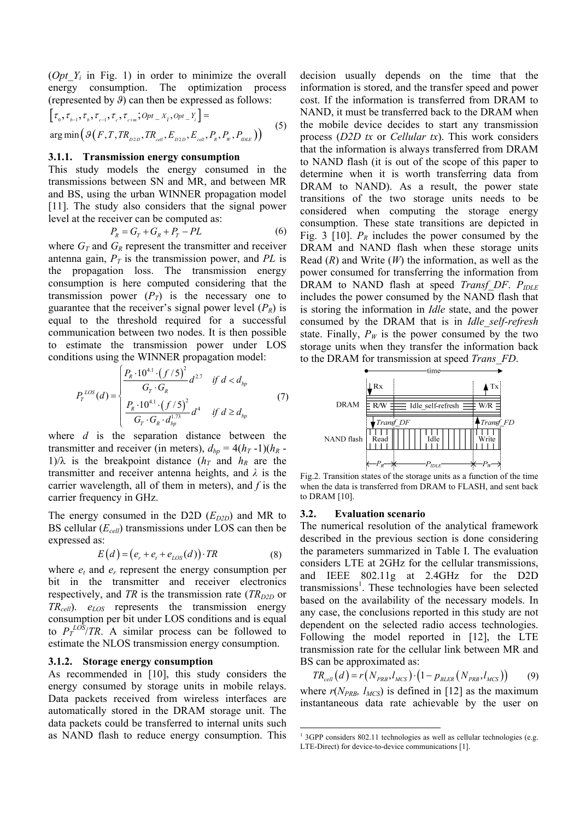(*Opt Y<sub>i</sub>* in Fig. 1) in order to minimize the overall energy consumption. The optimization process (represented by *ϑ*) can then be expressed as follows:

$$
[\tau_{0}, \tau_{b-1}, \tau_{b}, \tau_{c-1}, \tau_{c}, \tau_{c+m}; Opt\_X_{i}, opt\_Y_{i}] =
$$
  
arg min $(\mathcal{G}(F, T, TR_{D2D}, TR_{cell}, E_{D2D}, E_{cell}, P_{R}, P_{W}, P_{DLE}))$  (5)

#### **3.1.1. Transmission energy consumption**

This study models the energy consumed in the transmissions between SN and MR, and between MR and BS, using the urban WINNER propagation model [11]. The study also considers that the signal power level at the receiver can be computed as:

$$
P_R = G_T + G_R + P_T - PL \tag{6}
$$

where  $G_T$  and  $G_R$  represent the transmitter and receiver antenna gain,  $P_T$  is the transmission power, and PL is the propagation loss. The transmission energy consumption is here computed considering that the transmission power  $(P_T)$  is the necessary one to guarantee that the receiver's signal power level  $(P_R)$  is equal to the threshold required for a successful communication between two nodes. It is then possible to estimate the transmission power under LOS conditions using the WINNER propagation model:

$$
P_{T}^{LOS}(d) = \begin{cases} \frac{P_{R} \cdot 10^{4.1} \cdot (f/5)^{2}}{G_{T} \cdot G_{R}} d^{2.7} & \text{if } d < d_{bp} \\ \frac{P_{R} \cdot 10^{4.1} \cdot (f/5)^{2}}{G_{T} \cdot G_{R} \cdot d_{bp}^{1.73}} d^{4} & \text{if } d \ge d_{bp} \end{cases}
$$
(7)

where *d* is the separation distance between the transmitter and receiver (in meters),  $d_{bp} = 4(h_T - 1)(h_R -$ 1)/ $\lambda$  is the breakpoint distance ( $h_T$  and  $h_R$  are the transmitter and receiver antenna heights, and *λ* is the carrier wavelength, all of them in meters), and *f* is the carrier frequency in GHz.

The energy consumed in the D2D  $(E_{D2D})$  and MR to BS cellular (*Ecell*) transmissions under LOS can then be expressed as:

$$
E(d) = (e_r + e_t + e_{LOS}(d)) \cdot TR \tag{8}
$$

where  $e_t$  and  $e_r$  represent the energy consumption per bit in the transmitter and receiver electronics respectively, and *TR* is the transmission rate ( $TR_{D2D}$  or *TRcell*). *eLOS* represents the transmission energy consumption per bit under LOS conditions and is equal to  $P_T^{LOS}/TR$ . A similar process can be followed to estimate the NLOS transmission energy consumption.

#### **3.1.2. Storage energy consumption**

As recommended in [10], this study considers the energy consumed by storage units in mobile relays. Data packets received from wireless interfaces are automatically stored in the DRAM storage unit. The data packets could be transferred to internal units such as NAND flash to reduce energy consumption. This

decision usually depends on the time that the information is stored, and the transfer speed and power cost. If the information is transferred from DRAM to NAND, it must be transferred back to the DRAM when the mobile device decides to start any transmission process (*D2D tx* or *Cellular tx*). This work considers that the information is always transferred from DRAM to NAND flash (it is out of the scope of this paper to determine when it is worth transferring data from DRAM to NAND). As a result, the power state transitions of the two storage units needs to be considered when computing the storage energy consumption. These state transitions are depicted in Fig. 3 [10].  $P_R$  includes the power consumed by the DRAM and NAND flash when these storage units Read (*R*) and Write (*W*) the information, as well as the power consumed for transferring the information from DRAM to NAND flash at speed *Transf DF*. *P<sub>IDLE</sub>* includes the power consumed by the NAND flash that is storing the information in *Idle* state, and the power consumed by the DRAM that is in *Idle\_self-refresh* state. Finally,  $P_W$  is the power consumed by the two storage units when they transfer the information back to the DRAM for transmission at speed *Trans\_FD*.



Fig.2. Transition states of the storage units as a function of the time when the data is transferred from DRAM to FLASH, and sent back to DRAM [10].

## **3.2. Evaluation scenario**

The numerical resolution of the analytical framework described in the previous section is done considering the parameters summarized in Table I. The evaluation considers LTE at 2GHz for the cellular transmissions, and IEEE 802.11g at 2.4GHz for the D2D transmissions<sup>1</sup>. These technologies have been selected based on the availability of the necessary models. In any case, the conclusions reported in this study are not dependent on the selected radio access technologies. Following the model reported in [12], the LTE transmission rate for the cellular link between MR and BS can be approximated as:

 $TR_{cell}(d) = r(N_{PRB}, l_{MCS}) \cdot (1 - p_{BLER}(N_{PRB}, l_{MCS}))$  (9) where  $r(N_{PRB}, l_{MCS})$  is defined in [12] as the maximum instantaneous data rate achievable by the user on

<sup>&</sup>lt;sup>1</sup> 3GPP considers 802.11 technologies as well as cellular technologies (e.g. LTE-Direct) for device-to-device communications [1].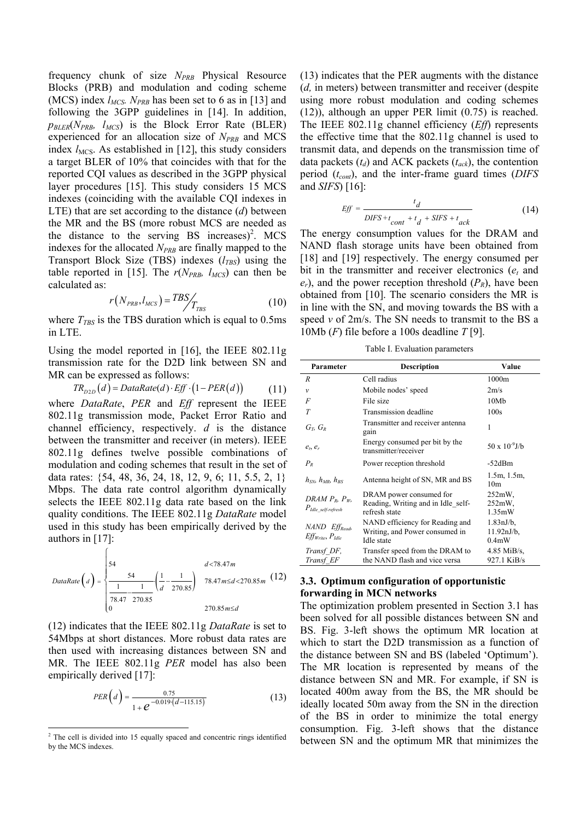frequency chunk of size *N<sub>PRB</sub>* Physical Resource Blocks (PRB) and modulation and coding scheme (MCS) index  $l_{MCS}$ .  $N_{PRB}$  has been set to 6 as in [13] and following the 3GPP guidelines in [14]. In addition,  $p_{BLER}(N_{PRB}, l_{MCS})$  is the Block Error Rate (BLER) experienced for an allocation size of  $N_{PRB}$  and MCS index  $l_{MCS}$ . As established in [12], this study considers a target BLER of 10% that coincides with that for the reported CQI values as described in the 3GPP physical layer procedures [15]. This study considers 15 MCS indexes (coinciding with the available CQI indexes in LTE) that are set according to the distance (*d*) between the MR and the BS (more robust MCS are needed as the distance to the serving BS increases)<sup>2</sup>. MCS indexes for the allocated *N<sub>PRB</sub>* are finally mapped to the Transport Block Size (TBS) indexes  $(l_{TBS})$  using the table reported in [15]. The  $r(N_{PRB}, l_{MCS})$  can then be calculated as:

$$
r(N_{PRB}, l_{MCS}) = TBS / T_{TBS}
$$
\n(10)

where  $T_{TBS}$  is the TBS duration which is equal to 0.5ms in LTE.

Using the model reported in [16], the IEEE 802.11g transmission rate for the D2D link between SN and MR can be expressed as follows:

 $TR_{p2D}(d) = DataRate(d) \cdot Eff \cdot (1 - PER(d))$  (11)

where *DataRate*, *PER* and *Eff* represent the IEEE 802.11g transmission mode, Packet Error Ratio and channel efficiency, respectively. *d* is the distance between the transmitter and receiver (in meters). IEEE 802.11g defines twelve possible combinations of modulation and coding schemes that result in the set of data rates: {54, 48, 36, 24, 18, 12, 9, 6; 11, 5.5, 2, 1} Mbps. The data rate control algorithm dynamically selects the IEEE 802.11g data rate based on the link quality conditions. The IEEE 802.11g *DataRate* model used in this study has been empirically derived by the authors in [17]:

$$
DataRate\left(a\right) = \begin{cases} 54 & d < 78.47m \\ \frac{1}{78.47} - \frac{1}{270.85} & 78.47m \le d < 270.85m \\ 0 & 270.85m \le d \end{cases}
$$
(12)

(12) indicates that the IEEE 802.11g *DataRate* is set to 54Mbps at short distances. More robust data rates are then used with increasing distances between SN and MR. The IEEE 802.11g *PER* model has also been empirically derived [17]:

$$
PER\left(d\right) = \frac{0.75}{1 + e^{-0.019 \cdot \left(d - 115.15\right)}}\tag{13}
$$

(13) indicates that the PER augments with the distance (*d,* in meters) between transmitter and receiver (despite using more robust modulation and coding schemes (12)), although an upper PER limit (0.75) is reached. The IEEE 802.11g channel efficiency (*Eff*) represents the effective time that the 802.11g channel is used to transmit data, and depends on the transmission time of data packets  $(t_d)$  and ACK packets  $(t_{ack})$ , the contention period (*tcont*), and the inter-frame guard times (*DIFS* and *SIFS*) [16]:

$$
Eff = \frac{t_d}{DIFS + t_{cont} + t_d + SIFS + t_{ack}}
$$
(14)

The energy consumption values for the DRAM and NAND flash storage units have been obtained from [18] and [19] respectively. The energy consumed per bit in the transmitter and receiver electronics  $(e_t$  and  $e_r$ ), and the power reception threshold  $(P_R)$ , have been obtained from [10]. The scenario considers the MR is in line with the SN, and moving towards the BS with a speed *v* of 2m/s. The SN needs to transmit to the BS a 10Mb (*F*) file before a 100s deadline *T* [9].

Table I. Evaluation parameters

| Parameter                                              | <b>Description</b>                                                              | Value                                                     |
|--------------------------------------------------------|---------------------------------------------------------------------------------|-----------------------------------------------------------|
| R                                                      | Cell radius                                                                     | 1000m                                                     |
| $\mathcal V$                                           | Mobile nodes' speed                                                             | 2m/s                                                      |
| $\overline{F}$                                         | File size                                                                       | 10Mb                                                      |
| T                                                      | Transmission deadline                                                           | 100s                                                      |
| $G_T$ , $G_R$                                          | Transmitter and receiver antenna<br>gain                                        | 1                                                         |
| $e_t, e_r$                                             | Energy consumed per bit by the<br>transmitter/receiver                          | $50 \times 10^{-9}$ J/b                                   |
| $P_R$                                                  | Power reception threshold                                                       | $-52dBm$                                                  |
| $h_{SN}$ , $h_{MR}$ , $h_{RS}$                         | Antenna height of SN, MR and BS                                                 | 1.5m, 1.5m,<br>10 <sub>m</sub>                            |
| DRAM $P_R$ , $P_W$ ,<br>$P_{\text{Idle}}$ self-refresh | DRAM power consumed for<br>Reading, Writing and in Idle self-<br>refresh state  | $252mW$ .<br>252mW.<br>1.35mW                             |
| NAND Eff <sub>Read</sub> ,<br>$Eff_{Write}, P_{Idle}$  | NAND efficiency for Reading and<br>Writing, and Power consumed in<br>Idle state | $1.83 \text{nJ/b}$ .<br>$11.92 \text{nJ/b}$ ,<br>$0.4m$ W |
| Transf DF,<br>Transf EF                                | Transfer speed from the DRAM to<br>the NAND flash and vice versa                | $4.85$ MiB/s,<br>927.1 KiB/s                              |

# **3.3. Optimum configuration of opportunistic forwarding in MCN networks**

The optimization problem presented in Section 3.1 has been solved for all possible distances between SN and BS. Fig. 3-left shows the optimum MR location at which to start the D2D transmission as a function of the distance between SN and BS (labeled 'Optimum'). The MR location is represented by means of the distance between SN and MR. For example, if SN is located 400m away from the BS, the MR should be ideally located 50m away from the SN in the direction of the BS in order to minimize the total energy consumption. Fig. 3-left shows that the distance between SN and the optimum MR that minimizes the

<sup>&</sup>lt;sup>2</sup> The cell is divided into 15 equally spaced and concentric rings identified by the MCS indexes.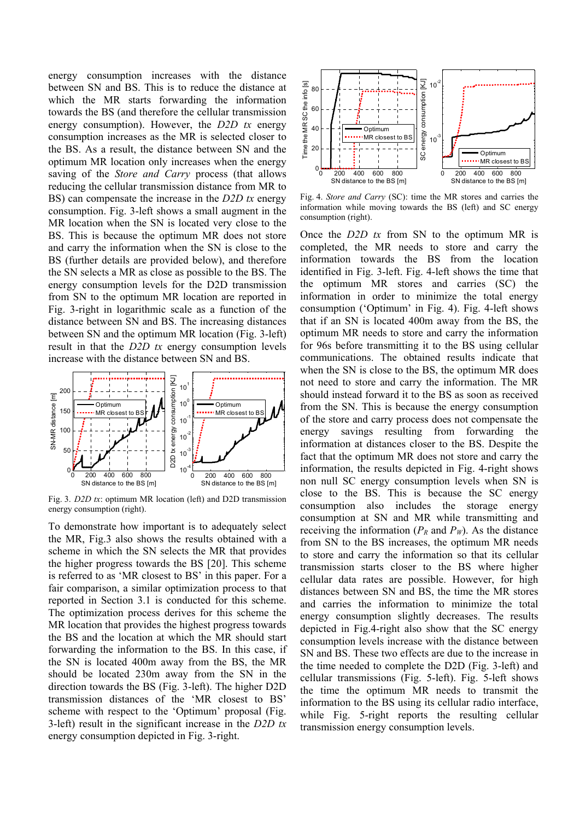energy consumption increases with the distance between SN and BS. This is to reduce the distance at which the MR starts forwarding the information towards the BS (and therefore the cellular transmission energy consumption). However, the *D2D tx* energy consumption increases as the MR is selected closer to the BS. As a result, the distance between SN and the optimum MR location only increases when the energy saving of the *Store and Carry* process (that allows reducing the cellular transmission distance from MR to BS) can compensate the increase in the *D2D tx* energy consumption. Fig. 3-left shows a small augment in the MR location when the SN is located very close to the BS. This is because the optimum MR does not store and carry the information when the SN is close to the BS (further details are provided below), and therefore the SN selects a MR as close as possible to the BS. The energy consumption levels for the D2D transmission from SN to the optimum MR location are reported in Fig. 3-right in logarithmic scale as a function of the distance between SN and BS. The increasing distances between SN and the optimum MR location (Fig. 3-left) result in that the *D2D tx* energy consumption levels increase with the distance between SN and BS.



Fig. 3. *D2D tx*: optimum MR location (left) and D2D transmission energy consumption (right).

To demonstrate how important is to adequately select the MR, Fig.3 also shows the results obtained with a scheme in which the SN selects the MR that provides the higher progress towards the BS [20]. This scheme is referred to as 'MR closest to BS' in this paper. For a fair comparison, a similar optimization process to that reported in Section 3.1 is conducted for this scheme. The optimization process derives for this scheme the MR location that provides the highest progress towards the BS and the location at which the MR should start forwarding the information to the BS. In this case, if the SN is located 400m away from the BS, the MR should be located 230m away from the SN in the direction towards the BS (Fig. 3-left). The higher D2D transmission distances of the 'MR closest to BS' scheme with respect to the 'Optimum' proposal (Fig. 3-left) result in the significant increase in the *D2D tx* energy consumption depicted in Fig. 3-right.



Fig. 4. *Store and Carry* (SC): time the MR stores and carries the information while moving towards the BS (left) and SC energy consumption (right).

Once the *D2D tx* from SN to the optimum MR is completed, the MR needs to store and carry the information towards the BS from the location identified in Fig. 3-left. Fig. 4-left shows the time that the optimum MR stores and carries (SC) the information in order to minimize the total energy consumption ('Optimum' in Fig. 4). Fig. 4-left shows that if an SN is located 400m away from the BS, the optimum MR needs to store and carry the information for 96s before transmitting it to the BS using cellular communications. The obtained results indicate that when the SN is close to the BS, the optimum MR does not need to store and carry the information. The MR should instead forward it to the BS as soon as received from the SN. This is because the energy consumption of the store and carry process does not compensate the energy savings resulting from forwarding the information at distances closer to the BS. Despite the fact that the optimum MR does not store and carry the information, the results depicted in Fig. 4-right shows non null SC energy consumption levels when SN is close to the BS. This is because the SC energy consumption also includes the storage energy consumption at SN and MR while transmitting and receiving the information  $(P_R \text{ and } P_W)$ . As the distance from SN to the BS increases, the optimum MR needs to store and carry the information so that its cellular transmission starts closer to the BS where higher cellular data rates are possible. However, for high distances between SN and BS, the time the MR stores and carries the information to minimize the total energy consumption slightly decreases. The results depicted in Fig.4-right also show that the SC energy consumption levels increase with the distance between SN and BS. These two effects are due to the increase in the time needed to complete the D2D (Fig. 3-left) and cellular transmissions (Fig. 5-left). Fig. 5-left shows the time the optimum MR needs to transmit the information to the BS using its cellular radio interface, while Fig. 5-right reports the resulting cellular transmission energy consumption levels.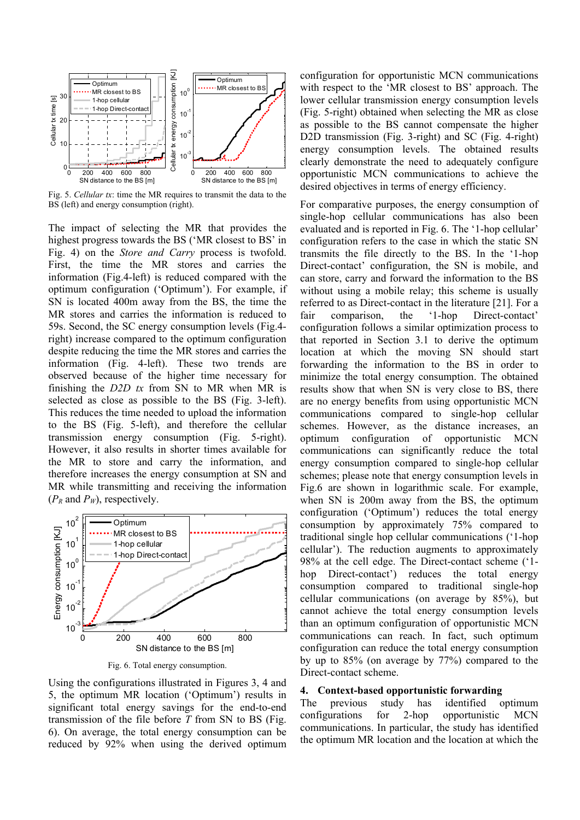

Fig. 5. *Cellular tx*: time the MR requires to transmit the data to the BS (left) and energy consumption (right).

The impact of selecting the MR that provides the highest progress towards the BS ('MR closest to BS' in Fig. 4) on the *Store and Carry* process is twofold. First, the time the MR stores and carries the information (Fig.4-left) is reduced compared with the optimum configuration ('Optimum'). For example, if SN is located 400m away from the BS, the time the MR stores and carries the information is reduced to 59s. Second, the SC energy consumption levels (Fig.4 right) increase compared to the optimum configuration despite reducing the time the MR stores and carries the information (Fig. 4-left). These two trends are observed because of the higher time necessary for finishing the *D2D tx* from SN to MR when MR is selected as close as possible to the BS (Fig. 3-left). This reduces the time needed to upload the information to the BS (Fig. 5-left), and therefore the cellular transmission energy consumption (Fig. 5-right). However, it also results in shorter times available for the MR to store and carry the information, and therefore increases the energy consumption at SN and MR while transmitting and receiving the information  $(P_R \text{ and } P_W)$ , respectively.



Fig. 6. Total energy consumption.

Using the configurations illustrated in Figures 3, 4 and 5, the optimum MR location ('Optimum') results in significant total energy savings for the end-to-end transmission of the file before *T* from SN to BS (Fig. 6). On average, the total energy consumption can be reduced by 92% when using the derived optimum configuration for opportunistic MCN communications with respect to the 'MR closest to BS' approach. The lower cellular transmission energy consumption levels (Fig. 5-right) obtained when selecting the MR as close as possible to the BS cannot compensate the higher D2D transmission (Fig. 3-right) and SC (Fig. 4-right) energy consumption levels. The obtained results clearly demonstrate the need to adequately configure opportunistic MCN communications to achieve the desired objectives in terms of energy efficiency.

For comparative purposes, the energy consumption of single-hop cellular communications has also been evaluated and is reported in Fig. 6. The '1-hop cellular' configuration refers to the case in which the static SN transmits the file directly to the BS. In the '1-hop Direct-contact' configuration, the SN is mobile, and can store, carry and forward the information to the BS without using a mobile relay; this scheme is usually referred to as Direct-contact in the literature [21]. For a fair comparison, the '1-hop Direct-contact' configuration follows a similar optimization process to that reported in Section 3.1 to derive the optimum location at which the moving SN should start forwarding the information to the BS in order to minimize the total energy consumption. The obtained results show that when SN is very close to BS, there are no energy benefits from using opportunistic MCN communications compared to single-hop cellular schemes. However, as the distance increases, an optimum configuration of opportunistic MCN communications can significantly reduce the total energy consumption compared to single-hop cellular schemes; please note that energy consumption levels in Fig.6 are shown in logarithmic scale. For example, when SN is 200m away from the BS, the optimum configuration ('Optimum') reduces the total energy consumption by approximately 75% compared to traditional single hop cellular communications ('1-hop cellular'). The reduction augments to approximately 98% at the cell edge. The Direct-contact scheme ('1 hop Direct-contact') reduces the total energy consumption compared to traditional single-hop cellular communications (on average by 85%), but cannot achieve the total energy consumption levels than an optimum configuration of opportunistic MCN communications can reach. In fact, such optimum configuration can reduce the total energy consumption by up to 85% (on average by 77%) compared to the Direct-contact scheme.

#### **4. Context-based opportunistic forwarding**

The previous study has identified optimum configurations for 2-hop opportunistic MCN communications. In particular, the study has identified the optimum MR location and the location at which the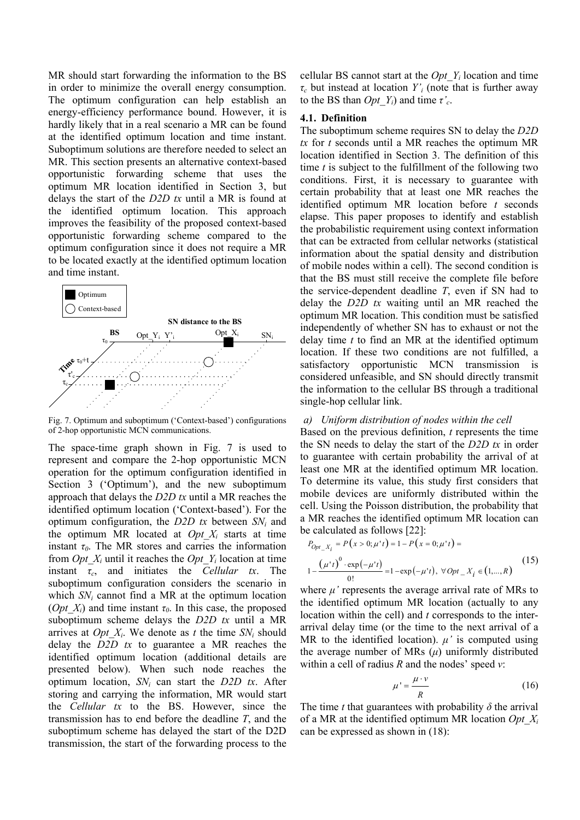MR should start forwarding the information to the BS in order to minimize the overall energy consumption. The optimum configuration can help establish an energy-efficiency performance bound. However, it is hardly likely that in a real scenario a MR can be found at the identified optimum location and time instant. Suboptimum solutions are therefore needed to select an MR. This section presents an alternative context-based opportunistic forwarding scheme that uses the optimum MR location identified in Section 3, but delays the start of the *D2D tx* until a MR is found at the identified optimum location. This approach improves the feasibility of the proposed context-based opportunistic forwarding scheme compared to the optimum configuration since it does not require a MR to be located exactly at the identified optimum location and time instant.



Fig. 7. Optimum and suboptimum ('Context-based') configurations of 2-hop opportunistic MCN communications.

The space-time graph shown in Fig. 7 is used to represent and compare the 2-hop opportunistic MCN operation for the optimum configuration identified in Section 3 ('Optimum'), and the new suboptimum approach that delays the *D2D tx* until a MR reaches the identified optimum location ('Context-based'). For the optimum configuration, the *D2D tx* between *SNi* and the optimum MR located at *Opt*  $X_i$  starts at time instant  $\tau_0$ . The MR stores and carries the information from *Opt*  $X_i$  until it reaches the *Opt Y<sub>i</sub>* location at time instant  $\tau_c$ , and initiates the *Cellular tx*. The suboptimum configuration considers the scenario in which *SNi* cannot find a MR at the optimum location (*Opt X<sub>i</sub>*) and time instant  $\tau$ <sup>0</sup>. In this case, the proposed suboptimum scheme delays the *D2D tx* until a MR arrives at *Opt*  $X_i$ . We denote as *t* the time  $SN_i$  should delay the *D2D tx* to guarantee a MR reaches the identified optimum location (additional details are presented below). When such node reaches the optimum location, *SNi* can start the *D2D tx*. After storing and carrying the information, MR would start the *Cellular tx* to the BS. However, since the transmission has to end before the deadline *T*, and the suboptimum scheme has delayed the start of the D2D transmission, the start of the forwarding process to the cellular BS cannot start at the  $Opt\ Y_i$  location and time *τc* but instead at location *Y'i* (note that is further away to the BS than *Opt\_Yi*) and time *τ'c*.

# **4.1. Definition**

The suboptimum scheme requires SN to delay the *D2D tx* for *t* seconds until a MR reaches the optimum MR location identified in Section 3. The definition of this time *t* is subject to the fulfillment of the following two conditions. First, it is necessary to guarantee with certain probability that at least one MR reaches the identified optimum MR location before *t* seconds elapse. This paper proposes to identify and establish the probabilistic requirement using context information that can be extracted from cellular networks (statistical information about the spatial density and distribution of mobile nodes within a cell). The second condition is that the BS must still receive the complete file before the service-dependent deadline *T*, even if SN had to delay the *D2D tx* waiting until an MR reached the optimum MR location. This condition must be satisfied independently of whether SN has to exhaust or not the delay time *t* to find an MR at the identified optimum location. If these two conditions are not fulfilled, a satisfactory opportunistic MCN transmission is considered unfeasible, and SN should directly transmit the information to the cellular BS through a traditional single-hop cellular link.

# *a) Uniform distribution of nodes within the cell*

Based on the previous definition, *t* represents the time the SN needs to delay the start of the *D2D tx* in order to guarantee with certain probability the arrival of at least one MR at the identified optimum MR location. To determine its value, this study first considers that mobile devices are uniformly distributed within the cell. Using the Poisson distribution, the probability that a MR reaches the identified optimum MR location can be calculated as follows [22]:

$$
P_{Opt\_X_i} = P(x > 0; \mu^*t) = 1 - P(x = 0; \mu^*t) =
$$
  

$$
1 - \frac{(\mu^*t)^0 \cdot \exp(-\mu^*t)}{0!} = 1 - \exp(-\mu^*t), \forall Opt\_X_i \in (1, ..., R)
$$
 (15)

where  $\mu$ <sup>'</sup> represents the average arrival rate of MRs to the identified optimum MR location (actually to any location within the cell) and *t* corresponds to the interarrival delay time (or the time to the next arrival of a MR to the identified location).  $\mu'$  is computed using the average number of MRs  $(\mu)$  uniformly distributed within a cell of radius *R* and the nodes' speed *v*:

$$
\mu' = \frac{\mu \cdot \nu}{R} \tag{16}
$$

The time *t* that guarantees with probability  $\delta$  the arrival of a MR at the identified optimum MR location *Opt\_Xi* can be expressed as shown in (18):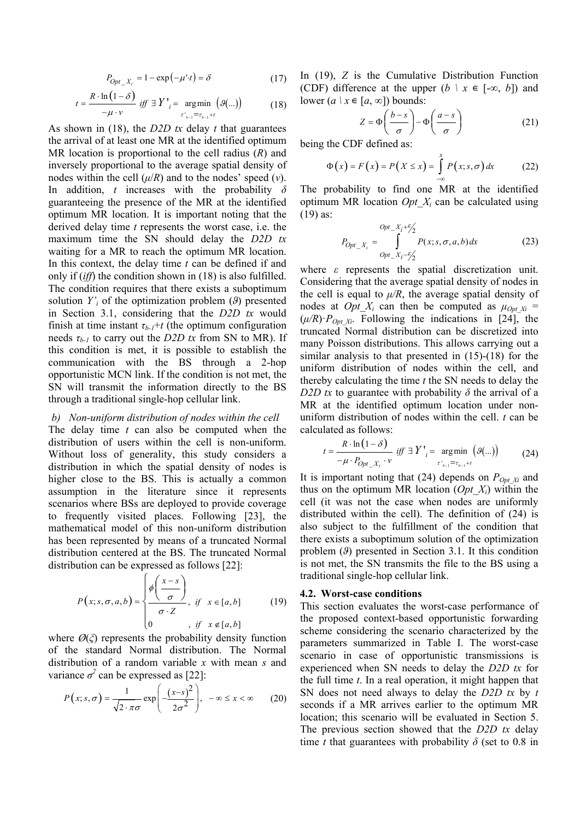$P_{Opt\_X_i} = 1 - \exp(-\mu \cdot t) = \delta$  (17)

$$
t = \frac{R \cdot \ln(1 - \delta)}{-\mu \cdot \nu} \quad \text{iff} \quad \exists \ Y \text{'}_i = \underset{\tau \text{'}_{b-1} = \tau_{b-1} + t}{\text{arg min}} (\mathcal{G}(\ldots)) \tag{18}
$$

As shown in (18), the *D2D tx* delay *t* that guarantees the arrival of at least one MR at the identified optimum MR location is proportional to the cell radius (*R*) and inversely proportional to the average spatial density of nodes within the cell  $(\mu/R)$  and to the nodes' speed  $(v)$ . In addition, *t* increases with the probability *δ* guaranteeing the presence of the MR at the identified optimum MR location. It is important noting that the derived delay time *t* represents the worst case, i.e. the maximum time the SN should delay the *D2D tx* waiting for a MR to reach the optimum MR location. In this context, the delay time *t* can be defined if and only if (*iff*) the condition shown in (18) is also fulfilled. The condition requires that there exists a suboptimum solution  $Y_i$  of the optimization problem  $(\theta)$  presented in Section 3.1, considering that the *D2D tx* would finish at time instant  $\tau_{b-1}$ +*t* (the optimum configuration needs  $\tau_{h-1}$  to carry out the *D2D tx* from SN to MR). If this condition is met, it is possible to establish the communication with the BS through a 2-hop opportunistic MCN link. If the condition is not met, the SN will transmit the information directly to the BS through a traditional single-hop cellular link.

# *b) Non-uniform distribution of nodes within the cell*

The delay time *t* can also be computed when the distribution of users within the cell is non-uniform. Without loss of generality, this study considers a distribution in which the spatial density of nodes is higher close to the BS. This is actually a common assumption in the literature since it represents scenarios where BSs are deployed to provide coverage to frequently visited places. Following [23], the mathematical model of this non-uniform distribution has been represented by means of a truncated Normal distribution centered at the BS. The truncated Normal distribution can be expressed as follows [22]:

$$
P(x; s, \sigma, a, b) = \begin{cases} \phi\left(\frac{x-s}{\sigma}\right) & \text{if } x \in [a, b] \\ \sigma \cdot Z & \text{if } x \notin [a, b] \end{cases}
$$
 (19)

where  $\mathcal{O}(\xi)$  represents the probability density function of the standard Normal distribution. The Normal distribution of a random variable *x* with mean *s* and variance  $\sigma^2$  can be expressed as [22]:

$$
P(x; s, \sigma) = \frac{1}{\sqrt{2 \cdot \pi} \sigma} \exp\left(-\frac{(x-s)^2}{2\sigma^2}\right), \quad -\infty \le x < \infty \tag{20}
$$

In (19), *Z* is the Cumulative Distribution Function (CDF) difference at the upper  $(b \mid x \in [-\infty, b])$  and lower  $(a \mid x \in [a, \infty])$  bounds:

$$
Z = \Phi\left(\frac{b-s}{\sigma}\right) - \Phi\left(\frac{a-s}{\sigma}\right) \tag{21}
$$

being the CDF defined as:

$$
\Phi(x) = F(x) = P(X \le x) = \int_{-\infty}^{x} P(x; s, \sigma) dx \tag{22}
$$

The probability to find one MR at the identified optimum MR location *Opt\_Xi* can be calculated using (19) as:

$$
P_{Opt\_X_i} = \int_{Opt\_X_i - \frac{\mathcal{E}_i}{2}}^{Opt\_X_i + \frac{\mathcal{E}_i}{2}} P(x; s, \sigma, a, b) dx
$$
 (23)

where *ε* represents the spatial discretization unit. Considering that the average spatial density of nodes in the cell is equal to  $\mu/R$ , the average spatial density of nodes at *Opt X<sub>i</sub>* can then be computed as  $\mu_{Opt X_i}$  =  $(\mu/R) \cdot P_{\text{Opt }Xi}$ . Following the indications in [24], the truncated Normal distribution can be discretized into many Poisson distributions. This allows carrying out a similar analysis to that presented in (15)-(18) for the uniform distribution of nodes within the cell, and thereby calculating the time *t* the SN needs to delay the *D2D tx* to guarantee with probability  $\delta$  the arrival of a MR at the identified optimum location under nonuniform distribution of nodes within the cell. *t* can be calculated as follows:

$$
t = \frac{R \cdot \ln(1 - \delta)}{-\mu \cdot P_{Opt\_X_i} \cdot \nu} \quad \text{iff} \quad \exists Y'_{i} = \underset{r'_{b-1} = r_{b-1} + t}{\text{argmin}} (\mathcal{A}(\ldots)) \tag{24}
$$

It is important noting that  $(24)$  depends on  $P_{Opt X_i}$  and thus on the optimum MR location  $(Opt\ X_i)$  within the cell (it was not the case when nodes are uniformly distributed within the cell). The definition of (24) is also subject to the fulfillment of the condition that there exists a suboptimum solution of the optimization problem (*ϑ*) presented in Section 3.1. It this condition is not met, the SN transmits the file to the BS using a traditional single-hop cellular link.

#### **4.2. Worst-case conditions**

This section evaluates the worst-case performance of the proposed context-based opportunistic forwarding scheme considering the scenario characterized by the parameters summarized in Table I. The worst-case scenario in case of opportunistic transmissions is experienced when SN needs to delay the *D2D tx* for the full time *t*. In a real operation, it might happen that SN does not need always to delay the *D2D tx* by *t* seconds if a MR arrives earlier to the optimum MR location; this scenario will be evaluated in Section 5. The previous section showed that the *D2D tx* delay time *t* that guarantees with probability  $\delta$  (set to 0.8 in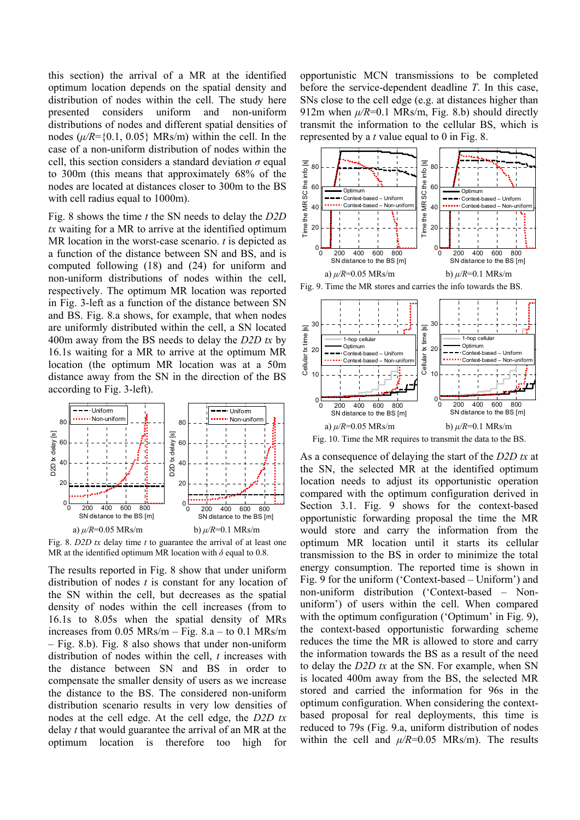this section) the arrival of a MR at the identified optimum location depends on the spatial density and distribution of nodes within the cell. The study here presented considers uniform and non-uniform distributions of nodes and different spatial densities of nodes  $(\mu/R = \{0.1, 0.05\}$  MRs/m) within the cell. In the case of a non-uniform distribution of nodes within the cell, this section considers a standard deviation *σ* equal to 300m (this means that approximately 68% of the nodes are located at distances closer to 300m to the BS with cell radius equal to 1000m).

Fig. 8 shows the time *t* the SN needs to delay the *D2D tx* waiting for a MR to arrive at the identified optimum MR location in the worst-case scenario. *t* is depicted as a function of the distance between SN and BS, and is computed following (18) and (24) for uniform and non-uniform distributions of nodes within the cell, respectively. The optimum MR location was reported in Fig. 3-left as a function of the distance between SN and BS. Fig. 8.a shows, for example, that when nodes are uniformly distributed within the cell, a SN located 400m away from the BS needs to delay the *D2D tx* by 16.1s waiting for a MR to arrive at the optimum MR location (the optimum MR location was at a 50m distance away from the SN in the direction of the BS according to Fig. 3-left).



Fig. 8. *D2D tx* delay time *t* to guarantee the arrival of at least one MR at the identified optimum MR location with  $\delta$  equal to 0.8.

The results reported in Fig. 8 show that under uniform distribution of nodes *t* is constant for any location of the SN within the cell, but decreases as the spatial density of nodes within the cell increases (from to 16.1s to 8.05s when the spatial density of MRs increases from 0.05 MRs/m – Fig. 8.a – to 0.1 MRs/m – Fig. 8.b). Fig. 8 also shows that under non-uniform distribution of nodes within the cell, *t* increases with the distance between SN and BS in order to compensate the smaller density of users as we increase the distance to the BS. The considered non-uniform distribution scenario results in very low densities of nodes at the cell edge. At the cell edge, the *D2D tx* delay *t* that would guarantee the arrival of an MR at the optimum location is therefore too high for

opportunistic MCN transmissions to be completed before the service-dependent deadline *T*. In this case, SNs close to the cell edge (e.g. at distances higher than 912m when  $\mu$ /*R*=0.1 MRs/m, Fig. 8.b) should directly transmit the information to the cellular BS, which is represented by a *t* value equal to 0 in Fig. 8.



Fig. 10. Time the MR requires to transmit the data to the BS.

As a consequence of delaying the start of the *D2D tx* at the SN, the selected MR at the identified optimum location needs to adjust its opportunistic operation compared with the optimum configuration derived in Section 3.1. Fig. 9 shows for the context-based opportunistic forwarding proposal the time the MR would store and carry the information from the optimum MR location until it starts its cellular transmission to the BS in order to minimize the total energy consumption. The reported time is shown in Fig. 9 for the uniform ('Context-based – Uniform') and non-uniform distribution ('Context-based – Nonuniform') of users within the cell. When compared with the optimum configuration ('Optimum' in Fig. 9), the context-based opportunistic forwarding scheme reduces the time the MR is allowed to store and carry the information towards the BS as a result of the need to delay the *D2D tx* at the SN. For example, when SN is located 400m away from the BS, the selected MR stored and carried the information for 96s in the optimum configuration. When considering the contextbased proposal for real deployments, this time is reduced to 79s (Fig. 9.a, uniform distribution of nodes within the cell and  $\mu$ /*R*=0.05 MRs/m). The results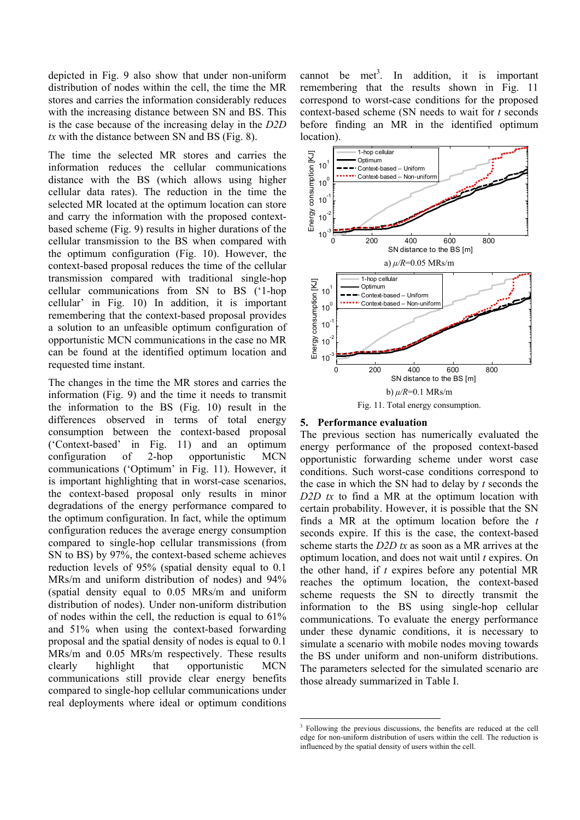depicted in Fig. 9 also show that under non-uniform distribution of nodes within the cell, the time the MR stores and carries the information considerably reduces with the increasing distance between SN and BS. This is the case because of the increasing delay in the *D2D tx* with the distance between SN and BS (Fig. 8).

The time the selected MR stores and carries the information reduces the cellular communications distance with the BS (which allows using higher cellular data rates). The reduction in the time the selected MR located at the optimum location can store and carry the information with the proposed contextbased scheme (Fig. 9) results in higher durations of the cellular transmission to the BS when compared with the optimum configuration (Fig. 10). However, the context-based proposal reduces the time of the cellular transmission compared with traditional single-hop cellular communications from SN to BS ('1-hop cellular' in Fig. 10) In addition, it is important remembering that the context-based proposal provides a solution to an unfeasible optimum configuration of opportunistic MCN communications in the case no MR can be found at the identified optimum location and requested time instant.

The changes in the time the MR stores and carries the information (Fig. 9) and the time it needs to transmit the information to the BS (Fig. 10) result in the differences observed in terms of total energy consumption between the context-based proposal ('Context-based' in Fig. 11) and an optimum configuration of 2-hop opportunistic MCN communications ('Optimum' in Fig. 11). However, it is important highlighting that in worst-case scenarios, the context-based proposal only results in minor degradations of the energy performance compared to the optimum configuration. In fact, while the optimum configuration reduces the average energy consumption compared to single-hop cellular transmissions (from SN to BS) by 97%, the context-based scheme achieves reduction levels of 95% (spatial density equal to 0.1 MRs/m and uniform distribution of nodes) and 94% (spatial density equal to 0.05 MRs/m and uniform distribution of nodes). Under non-uniform distribution of nodes within the cell, the reduction is equal to 61% and 51% when using the context-based forwarding proposal and the spatial density of nodes is equal to 0.1 MRs/m and 0.05 MRs/m respectively. These results clearly highlight that opportunistic MCN communications still provide clear energy benefits compared to single-hop cellular communications under real deployments where ideal or optimum conditions

cannot be met<sup>3</sup>. In addition, it is important remembering that the results shown in Fig. 11 correspond to worst-case conditions for the proposed context-based scheme (SN needs to wait for *t* seconds before finding an MR in the identified optimum location).



#### **5. Performance evaluation**

The previous section has numerically evaluated the energy performance of the proposed context-based opportunistic forwarding scheme under worst case conditions. Such worst-case conditions correspond to the case in which the SN had to delay by *t* seconds the *D2D tx* to find a MR at the optimum location with certain probability. However, it is possible that the SN finds a MR at the optimum location before the *t* seconds expire. If this is the case, the context-based scheme starts the *D2D tx* as soon as a MR arrives at the optimum location, and does not wait until *t* expires. On the other hand, if *t* expires before any potential MR reaches the optimum location, the context-based scheme requests the SN to directly transmit the information to the BS using single-hop cellular communications. To evaluate the energy performance under these dynamic conditions, it is necessary to simulate a scenario with mobile nodes moving towards the BS under uniform and non-uniform distributions. The parameters selected for the simulated scenario are those already summarized in Table I.

<sup>&</sup>lt;sup>3</sup> Following the previous discussions, the benefits are reduced at the cell edge for non-uniform distribution of users within the cell. The reduction is influenced by the spatial density of users within the cell.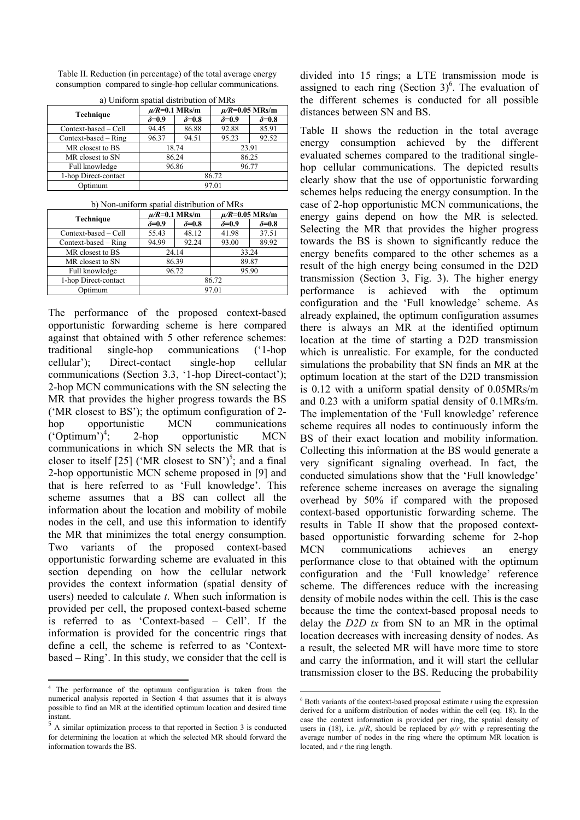Table II. Reduction (in percentage) of the total average energy consumption compared to single-hop cellular communications.

| <u>u j Umroini opullui ulotrioution of Mitto</u> |                    |                |                     |                |  |  |
|--------------------------------------------------|--------------------|----------------|---------------------|----------------|--|--|
|                                                  | $\mu$ /R=0.1 MRs/m |                | $\mu$ /R=0.05 MRs/m |                |  |  |
| Technique                                        | $\delta = 0.9$     | $\delta = 0.8$ | $\delta = 0.9$      | $\delta = 0.8$ |  |  |
| Context-based – Cell                             | 94.45              | 86.88          | 92.88               | 85.91          |  |  |
| $Context-based - Ring$                           | 96.37              | 94.51          | 95.23               | 92.52          |  |  |
| MR closest to BS                                 | 18.74              |                | 23.91               |                |  |  |
| MR closest to SN                                 |                    | 86.24          |                     | 86.25          |  |  |
| Full knowledge                                   |                    | 96.86          | 96.77               |                |  |  |
| 1-hop Direct-contact                             | 86.72              |                |                     |                |  |  |
| Optimum                                          | 97.01              |                |                     |                |  |  |

a) Uniform spatial distribution of MRs

| b) Non-uniform spatial distribution of MRs |  |
|--------------------------------------------|--|
|--------------------------------------------|--|

|                      | $\mu$ /R=0.1 MRs/m |                | $\mu$ /R=0.05 MRs/m |                |
|----------------------|--------------------|----------------|---------------------|----------------|
| Technique            | $\delta = 0.9$     | $\delta = 0.8$ | $\delta = 0.9$      | $\delta = 0.8$ |
| Context-based - Cell | 55.43              | 48.12          | 41.98               | 37.51          |
| Context-based – Ring | 94.99              | 92.24          | 93.00               | 89.92          |
| MR closest to BS     | 24.14              |                | 33.24               |                |
| MR closest to SN     | 86.39              |                | 89.87               |                |
| Full knowledge       |                    | 96.72          |                     | 95.90          |
| 1-hop Direct-contact |                    |                | 86.72               |                |
| Optimum              | 97.01              |                |                     |                |

The performance of the proposed context-based opportunistic forwarding scheme is here compared against that obtained with 5 other reference schemes: traditional single-hop communications ('1-hop cellular'); Direct-contact single-hop cellular communications (Section 3.3, '1-hop Direct-contact'); 2-hop MCN communications with the SN selecting the MR that provides the higher progress towards the BS ('MR closest to BS'); the optimum configuration of 2 hop opportunistic MCN communications  $({}^{\circ}$ Optimum')<sup>4</sup>; 2-hop opportunistic MCN communications in which SN selects the MR that is closer to itself [25] ('MR closest to SN')<sup>5</sup>; and a final 2-hop opportunistic MCN scheme proposed in [9] and that is here referred to as 'Full knowledge'. This scheme assumes that a BS can collect all the information about the location and mobility of mobile nodes in the cell, and use this information to identify the MR that minimizes the total energy consumption. Two variants of the proposed context-based opportunistic forwarding scheme are evaluated in this section depending on how the cellular network provides the context information (spatial density of users) needed to calculate *t*. When such information is provided per cell, the proposed context-based scheme is referred to as 'Context-based – Cell'. If the information is provided for the concentric rings that define a cell, the scheme is referred to as 'Contextbased – Ring'. In this study, we consider that the cell is divided into 15 rings; a LTE transmission mode is assigned to each ring (Section  $3$ <sup>6</sup>. The evaluation of the different schemes is conducted for all possible distances between SN and BS.

Table II shows the reduction in the total average energy consumption achieved by the different evaluated schemes compared to the traditional singlehop cellular communications. The depicted results clearly show that the use of opportunistic forwarding schemes helps reducing the energy consumption. In the case of 2-hop opportunistic MCN communications, the energy gains depend on how the MR is selected. Selecting the MR that provides the higher progress towards the BS is shown to significantly reduce the energy benefits compared to the other schemes as a result of the high energy being consumed in the D2D transmission (Section 3, Fig. 3). The higher energy performance is achieved with the optimum configuration and the 'Full knowledge' scheme. As already explained, the optimum configuration assumes there is always an MR at the identified optimum location at the time of starting a D2D transmission which is unrealistic. For example, for the conducted simulations the probability that SN finds an MR at the optimum location at the start of the D2D transmission is 0.12 with a uniform spatial density of 0.05MRs/m and 0.23 with a uniform spatial density of 0.1MRs/m. The implementation of the 'Full knowledge' reference scheme requires all nodes to continuously inform the BS of their exact location and mobility information. Collecting this information at the BS would generate a very significant signaling overhead. In fact, the conducted simulations show that the 'Full knowledge' reference scheme increases on average the signaling overhead by 50% if compared with the proposed context-based opportunistic forwarding scheme. The results in Table II show that the proposed contextbased opportunistic forwarding scheme for 2-hop MCN communications achieves an energy performance close to that obtained with the optimum configuration and the 'Full knowledge' reference scheme. The differences reduce with the increasing density of mobile nodes within the cell. This is the case because the time the context-based proposal needs to delay the *D2D tx* from SN to an MR in the optimal location decreases with increasing density of nodes. As a result, the selected MR will have more time to store and carry the information, and it will start the cellular transmission closer to the BS. Reducing the probability

 4 The performance of the optimum configuration is taken from the numerical analysis reported in Section 4 that assumes that it is always possible to find an MR at the identified optimum location and desired time instant.

<sup>5</sup> A similar optimization process to that reported in Section 3 is conducted for determining the location at which the selected MR should forward the information towards the BS.

 $6$  Both variants of the context-based proposal estimate  $t$  using the expression derived for a uniform distribution of nodes within the cell (eq. 18). In the case the context information is provided per ring, the spatial density of users in (18), i.e.  $\mu/R$ , should be replaced by  $\varphi/r$  with  $\varphi$  representing the average number of nodes in the ring where the optimum MR location is located, and *r* the ring length.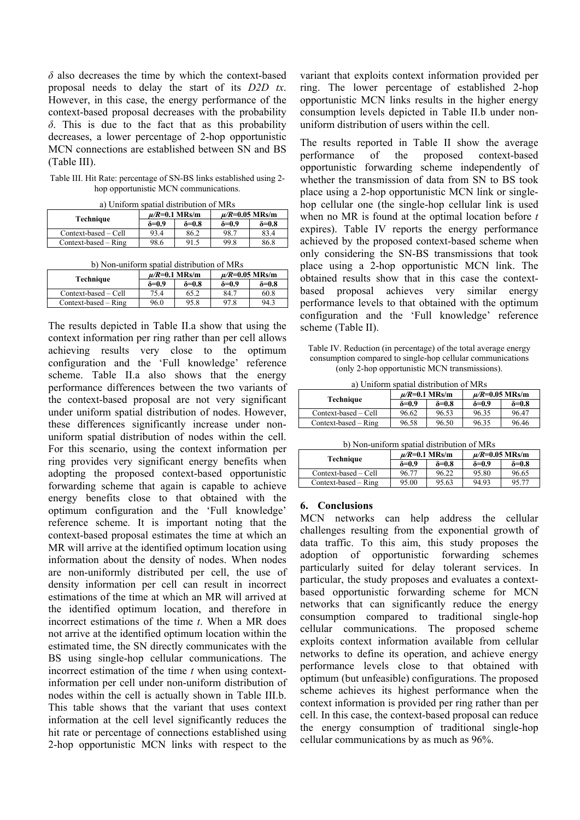*δ* also decreases the time by which the context-based proposal needs to delay the start of its *D2D tx*. However, in this case, the energy performance of the context-based proposal decreases with the probability *δ*. This is due to the fact that as this probability decreases, a lower percentage of 2-hop opportunistic MCN connections are established between SN and BS (Table III).

Table III. Hit Rate: percentage of SN-BS links established using 2 hop opportunistic MCN communications.

|                      | $\mu$ /R=0.1 MRs/m |                | $\mu$ /R=0.05 MRs/m |                |
|----------------------|--------------------|----------------|---------------------|----------------|
| Technique            | δ=0.9              | $\delta = 0.8$ | ծ=0.9               | $\delta = 0.8$ |
| Context-based – Cell | 93.4               | 86.2           | 98.7                | 83.4           |
| Context-based – Ring | 98.6               | 91.5           | 99.8                | 86.8           |

b) Non-uniform spatial distribution of MRs

| Technique              | $\mu$ /R=0.1 MRs/m |                | $\mu$ /R=0.05 MRs/m |                |
|------------------------|--------------------|----------------|---------------------|----------------|
|                        | $\delta = 0.9$     | $\delta = 0.8$ | $\delta = 0.9$      | $\delta = 0.8$ |
| Context-based – Cell   | 75.4               | 65.2           | 84.7                | 60.8           |
| $Context-based - Ring$ | 96.0               | 95.8           | 97.8                | 94.3           |

The results depicted in Table II.a show that using the context information per ring rather than per cell allows achieving results very close to the optimum configuration and the 'Full knowledge' reference scheme. Table II.a also shows that the energy performance differences between the two variants of the context-based proposal are not very significant under uniform spatial distribution of nodes. However, these differences significantly increase under nonuniform spatial distribution of nodes within the cell. For this scenario, using the context information per ring provides very significant energy benefits when adopting the proposed context-based opportunistic forwarding scheme that again is capable to achieve energy benefits close to that obtained with the optimum configuration and the 'Full knowledge' reference scheme. It is important noting that the context-based proposal estimates the time at which an MR will arrive at the identified optimum location using information about the density of nodes. When nodes are non-uniformly distributed per cell, the use of density information per cell can result in incorrect estimations of the time at which an MR will arrived at the identified optimum location, and therefore in incorrect estimations of the time *t*. When a MR does not arrive at the identified optimum location within the estimated time, the SN directly communicates with the BS using single-hop cellular communications. The incorrect estimation of the time *t* when using contextinformation per cell under non-uniform distribution of nodes within the cell is actually shown in Table III.b. This table shows that the variant that uses context information at the cell level significantly reduces the hit rate or percentage of connections established using 2-hop opportunistic MCN links with respect to the variant that exploits context information provided per ring. The lower percentage of established 2-hop opportunistic MCN links results in the higher energy consumption levels depicted in Table II.b under nonuniform distribution of users within the cell.

The results reported in Table II show the average performance of the proposed context-based opportunistic forwarding scheme independently of whether the transmission of data from SN to BS took place using a 2-hop opportunistic MCN link or singlehop cellular one (the single-hop cellular link is used when no MR is found at the optimal location before *t* expires). Table IV reports the energy performance achieved by the proposed context-based scheme when only considering the SN-BS transmissions that took place using a 2-hop opportunistic MCN link. The obtained results show that in this case the contextbased proposal achieves very similar energy performance levels to that obtained with the optimum configuration and the 'Full knowledge' reference scheme (Table II).

Table IV. Reduction (in percentage) of the total average energy consumption compared to single-hop cellular communications (only 2-hop opportunistic MCN transmissions).

|  |  |  | a) Uniform spatial distribution of MRs |  |
|--|--|--|----------------------------------------|--|
|--|--|--|----------------------------------------|--|

| .<br><u>onnon on www.marchive.com on he</u> |                    |                |                     |                |  |  |
|---------------------------------------------|--------------------|----------------|---------------------|----------------|--|--|
|                                             | $\mu$ /R=0.1 MRs/m |                | $\mu$ /R=0.05 MRs/m |                |  |  |
| Technique                                   | ծ=0.9              | $\delta = 0.8$ | $\delta = 0.9$      | $\delta = 0.8$ |  |  |
| Context-based – Cell                        | 96.62              | 96.53          | 96.35               | 96.47          |  |  |
| $Context-based - Ring$                      | 96.58              | 96.50          | 96.35               | 96.46          |  |  |

| Technique              | $\mu$ /R=0.1 MRs/m |                | $\mu$ /R=0.05 MRs/m |                |
|------------------------|--------------------|----------------|---------------------|----------------|
|                        | $\delta = 0.9$     | $\delta = 0.8$ | $\delta = 0.9$      | $\delta = 0.8$ |
| Context-based – Cell   | 96.77              | 96.22          | 95.80               | 96.65          |
| $Context-based - Ring$ | 95.00              | 95.63          | 94.93               | 95.77          |

## **6. Conclusions**

MCN networks can help address the cellular challenges resulting from the exponential growth of data traffic. To this aim, this study proposes the adoption of opportunistic forwarding schemes particularly suited for delay tolerant services. In particular, the study proposes and evaluates a contextbased opportunistic forwarding scheme for MCN networks that can significantly reduce the energy consumption compared to traditional single-hop cellular communications. The proposed scheme exploits context information available from cellular networks to define its operation, and achieve energy performance levels close to that obtained with optimum (but unfeasible) configurations. The proposed scheme achieves its highest performance when the context information is provided per ring rather than per cell. In this case, the context-based proposal can reduce the energy consumption of traditional single-hop cellular communications by as much as 96%.